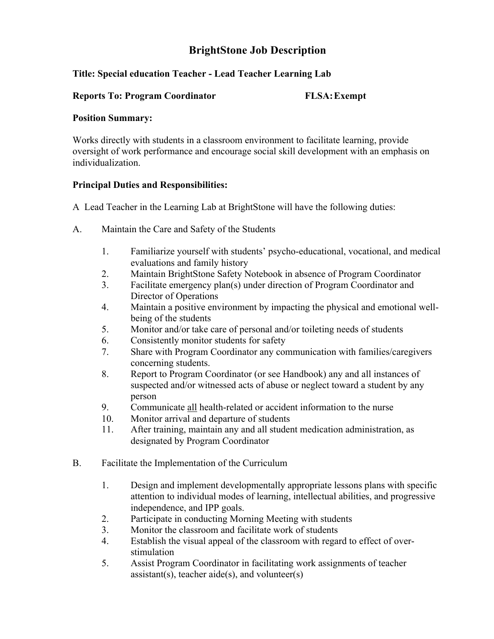# **BrightStone Job Description**

## **Title: Special education Teacher - Lead Teacher Learning Lab**

#### **Reports To: Program Coordinator FLSA:Exempt**

#### **Position Summary:**

Works directly with students in a classroom environment to facilitate learning, provide oversight of work performance and encourage social skill development with an emphasis on individualization.

### **Principal Duties and Responsibilities:**

A Lead Teacher in the Learning Lab at BrightStone will have the following duties:

- A. Maintain the Care and Safety of the Students
	- 1. Familiarize yourself with students' psycho-educational, vocational, and medical evaluations and family history
	- 2. Maintain BrightStone Safety Notebook in absence of Program Coordinator
	- 3. Facilitate emergency plan(s) under direction of Program Coordinator and Director of Operations
	- 4. Maintain a positive environment by impacting the physical and emotional wellbeing of the students
	- 5. Monitor and/or take care of personal and/or toileting needs of students
	- 6. Consistently monitor students for safety
	- 7. Share with Program Coordinator any communication with families/caregivers concerning students.
	- 8. Report to Program Coordinator (or see Handbook) any and all instances of suspected and/or witnessed acts of abuse or neglect toward a student by any person
	- 9. Communicate all health-related or accident information to the nurse
	- 10. Monitor arrival and departure of students
	- 11. After training, maintain any and all student medication administration, as designated by Program Coordinator
- B. Facilitate the Implementation of the Curriculum
	- 1. Design and implement developmentally appropriate lessons plans with specific attention to individual modes of learning, intellectual abilities, and progressive independence, and IPP goals.
	- 2. Participate in conducting Morning Meeting with students
	- 3. Monitor the classroom and facilitate work of students
	- 4. Establish the visual appeal of the classroom with regard to effect of overstimulation
	- 5. Assist Program Coordinator in facilitating work assignments of teacher  $\text{assignment}(s)$ , teacher aide(s), and volunteer(s)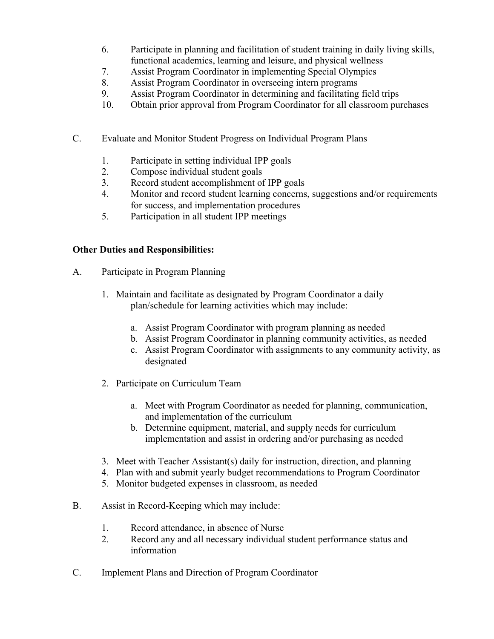- 6. Participate in planning and facilitation of student training in daily living skills, functional academics, learning and leisure, and physical wellness
- 7. Assist Program Coordinator in implementing Special Olympics
- 8. Assist Program Coordinator in overseeing intern programs
- 9. Assist Program Coordinator in determining and facilitating field trips
- 10. Obtain prior approval from Program Coordinator for all classroom purchases
- C. Evaluate and Monitor Student Progress on Individual Program Plans
	- 1. Participate in setting individual IPP goals
	- 2. Compose individual student goals
	- 3. Record student accomplishment of IPP goals
	- 4. Monitor and record student learning concerns, suggestions and/or requirements for success, and implementation procedures
	- 5. Participation in all student IPP meetings

# **Other Duties and Responsibilities:**

- A. Participate in Program Planning
	- 1. Maintain and facilitate as designated by Program Coordinator a daily plan/schedule for learning activities which may include:
		- a. Assist Program Coordinator with program planning as needed
		- b. Assist Program Coordinator in planning community activities, as needed
		- c. Assist Program Coordinator with assignments to any community activity, as designated
	- 2. Participate on Curriculum Team
		- a. Meet with Program Coordinator as needed for planning, communication, and implementation of the curriculum
		- b. Determine equipment, material, and supply needs for curriculum implementation and assist in ordering and/or purchasing as needed
	- 3. Meet with Teacher Assistant(s) daily for instruction, direction, and planning
	- 4. Plan with and submit yearly budget recommendations to Program Coordinator
	- 5. Monitor budgeted expenses in classroom, as needed
- B. Assist in Record-Keeping which may include:
	- 1. Record attendance, in absence of Nurse
	- 2. Record any and all necessary individual student performance status and information
- C. Implement Plans and Direction of Program Coordinator